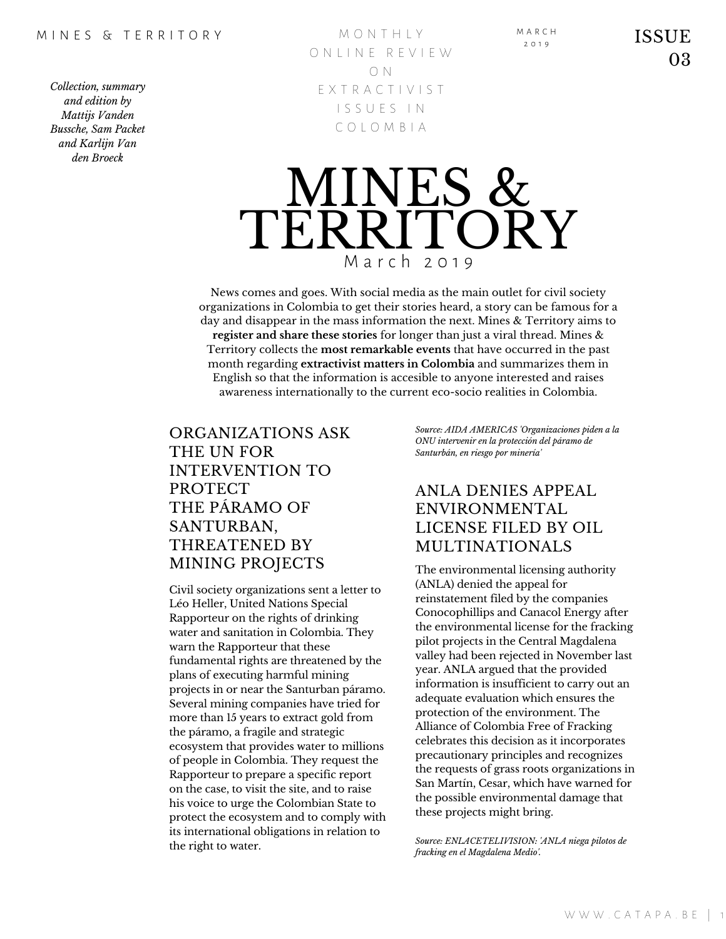M O N T H L Y O N L I N E R E V I E W O N E X T R A C T I V I S T I S S U E S I N C O L O M B I A



News comes and goes. With social media as the main outlet for civil society organizations in Colombia to get their stories heard, a story can be famous for a day and disappear in the mass information the next. Mines & Territory aims to **register and share these stories** for longer than just a viral thread. Mines & Territory collects the **most remarkable events** that have occurred in the past month regarding **extractivist matters in Colombia** and summarizes them in English so that the information is accesible to anyone interested and raises awareness internationally to the current eco-socio realities in Colombia.

## ORGANIZATIONS ASK THE UN FOR INTERVENTION TO PROTECT THE PÁRAMO OF SANTURBAN, THREATENED BY MINING PROJECTS

Civil society organizations sent a letter to Léo Heller, United Nations Special Rapporteur on the rights of drinking water and sanitation in Colombia. They warn the Rapporteur that these fundamental rights are threatened by the plans of executing harmful mining projects in or near the Santurban páramo. Several mining companies have tried for more than 15 years to extract gold from the páramo, a fragile and strategic ecosystem that provides water to millions of people in Colombia. They request the Rapporteur to prepare a specific report on the case, to visit the site, and to raise his voice to urge the Colombian State to protect the ecosystem and to comply with its international obligations in relation to the right to water.

*Source: AIDA AMERICAS 'Organizaciones piden a la ONU intervenir en la protección del páramo de Santurbán, en riesgo por minería'*

M A R C H

## ANLA DENIES APPEAL ENVIRONMENTAL LICENSE FILED BY OIL MULTINATIONALS

The environmental licensing authority (ANLA) denied the appeal for reinstatement filed by the companies Conocophillips and Canacol Energy after the environmental license for the fracking pilot projects in the Central Magdalena valley had been rejected in November last year. ANLA argued that the provided information is insufficient to carry out an adequate evaluation which ensures the protection of the environment. The Alliance of Colombia Free of Fracking celebrates this decision as it incorporates precautionary principles and recognizes the requests of grass roots organizations in San Martín, Cesar, which have warned for the possible environmental damage that these projects might bring.

*Source: ENLACETELIVISION: 'ANLA niega pilotos de fracking en el Magdalena Medio'.*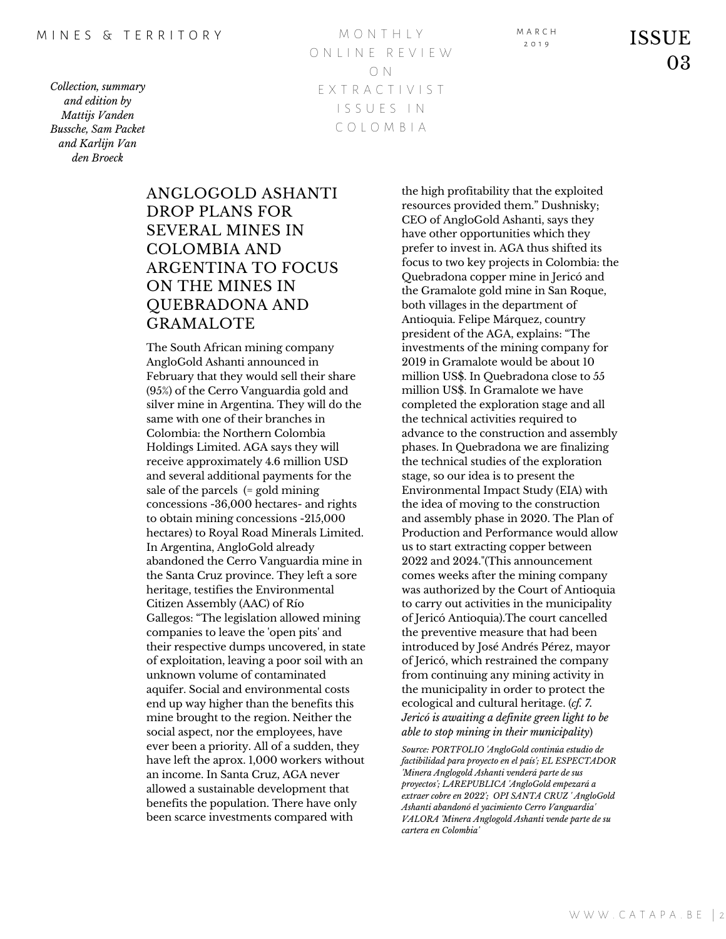M O N T H L Y O N L I N E R E V I E W O N E X T R A C T I V I S T I S S U E S I N C O L O M B I A

M A R C H

 $\sum_{2.019}$  ISSUE 03

## ANGLOGOLD ASHANTI DROP PLANS FOR SEVERAL MINES IN COLOMBIA AND ARGENTINA TO FOCUS ON THE MINES IN QUEBRADONA AND GRAMALOTE

The South African mining company AngloGold Ashanti announced in February that they would sell their share (95%) of the Cerro Vanguardia gold and silver mine in Argentina. They will do the same with one of their branches in Colombia: the Northern Colombia Holdings Limited. AGA says they will receive approximately 4.6 million USD and several additional payments for the sale of the parcels (= gold mining concessions -36,000 hectares- and rights to obtain mining concessions -215,000 hectares) to Royal Road Minerals Limited. In Argentina, AngloGold already abandoned the Cerro Vanguardia mine in the Santa Cruz province. They left a sore heritage, testifies the Environmental Citizen Assembly (AAC) of Río Gallegos: "The legislation allowed mining companies to leave the 'open pits' and their respective dumps uncovered, in state of exploitation, leaving a poor soil with an unknown volume of contaminated aquifer. Social and environmental costs end up way higher than the benefits this mine brought to the region. Neither the social aspect, nor the employees, have ever been a priority. All of a sudden, they have left the aprox. 1,000 workers without an income. In Santa Cruz, AGA never allowed a sustainable development that benefits the population. There have only been scarce investments compared with

the high profitability that the exploited resources provided them." Dushnisky; CEO of AngloGold Ashanti, says they have other opportunities which they prefer to invest in. AGA thus shifted its focus to two key projects in Colombia: the Quebradona copper mine in Jericó and the Gramalote gold mine in San Roque, both villages in the department of Antioquia. Felipe Márquez, country president of the AGA, explains: "The investments of the mining company for 2019 in Gramalote would be about 10 million US\$. In Quebradona close to 55 million US\$. In Gramalote we have completed the exploration stage and all the technical activities required to advance to the construction and assembly phases. In Quebradona we are finalizing the technical studies of the exploration stage, so our idea is to present the Environmental Impact Study (EIA) with the idea of moving to the construction and assembly phase in 2020. The Plan of Production and Performance would allow us to start extracting copper between 2022 and 2024."(This announcement comes weeks after the mining company was authorized by the Court of Antioquia to carry out activities in the municipality of Jericó Antioquia).The court cancelled the preventive measure that had been introduced by José Andrés Pérez, mayor of Jericó, which restrained the company from continuing any mining activity in the municipality in order to protect the ecological and cultural heritage. (*cf. 7. Jericó is awaiting a definite green light to be able to stop mining in their municipality*)

*Source: PORTFOLIO 'AngloGold continúa estudio de factibilidad para proyecto en el país'; EL ESPECTADOR 'Minera Anglogold Ashanti venderá parte de sus proyectos'; LAREPUBLICA 'AngloGold empezará a extraer cobre en 2022'; OPI SANTA CRUZ ' AngloGold Ashanti abandonó el yacimiento Cerro Vanguardia' VALORA 'Minera Anglogold Ashanti vende parte de su cartera en Colombia'*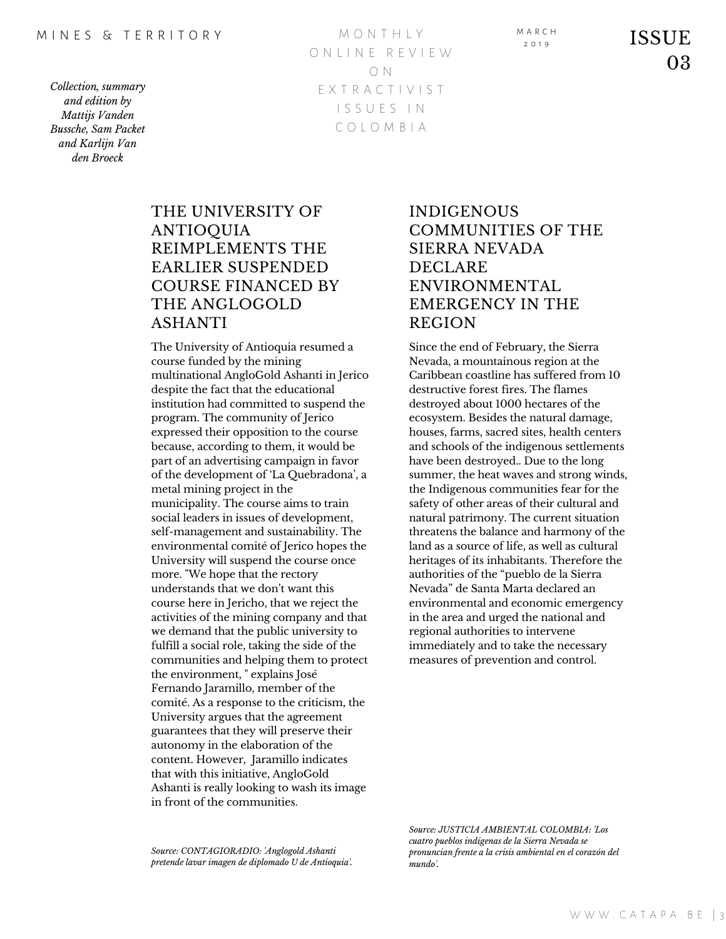M O N T H L Y O N L I N E R E V I E W O N E X T R A C T I V I S T I S S U E S I N C O L O M B I A

 $\sum_{2.019}^{1.8 \text{ KCH}}$  ISSUE 03

## THE UNIVERSITY OF ANTIOQUIA REIMPLEMENTS THE EARLIER SUSPENDED COURSE FINANCED BY THE ANGLOGOLD ASHANTI

The University of Antioquia resumed a course funded by the mining multinational AngloGold Ashanti in Jerico despite the fact that the educational institution had committed to suspend the program. The community of Jerico expressed their opposition to the course because, according to them, it would be part of an advertising campaign in favor of the development of 'La Quebradona', a metal mining project in the municipality. The course aims to train social leaders in issues of development, self-management and sustainability. The environmental comité of Jerico hopes the University will suspend the course once more. "We hope that the rectory understands that we don't want this course here in Jericho, that we reject the activities of the mining company and that we demand that the public university to fulfill a social role, taking the side of the communities and helping them to protect the environment, " explains José Fernando Jaramillo, member of the comité. As a response to the criticism, the University argues that the agreement guarantees that they will preserve their autonomy in the elaboration of the content. However, Jaramillo indicates that with this initiative, AngloGold Ashanti is really looking to wash its image in front of the communities.

*Source: CONTAGIORADIO: 'Anglogold Ashanti pretende lavar imagen de diplomado U de Antioquia'.*

# INDIGENOUS COMMUNITIES OF THE SIERRA NEVADA DECLARE ENVIRONMENTAL EMERGENCY IN THE REGION

Since the end of February, the Sierra Nevada, a mountainous region at the Caribbean coastline has suffered from 10 destructive forest fires. The flames destroyed about 1000 hectares of the ecosystem. Besides the natural damage, houses, farms, sacred sites, health centers and schools of the indigenous settlements have been destroyed.. Due to the long summer, the heat waves and strong winds, the Indigenous communities fear for the safety of other areas of their cultural and natural patrimony. The current situation threatens the balance and harmony of the land as a source of life, as well as cultural heritages of its inhabitants. Therefore the authorities of the "pueblo de la Sierra Nevada" de Santa Marta declared an environmental and economic emergency in the area and urged the national and regional authorities to intervene immediately and to take the necessary measures of prevention and control.

*Source: JUSTICIA AMBIENTAL COLOMBIA: 'Los cuatro pueblos indígenas de la Sierra Nevada se pronuncian frente a la crisis ambiental en el corazón del mundo'.*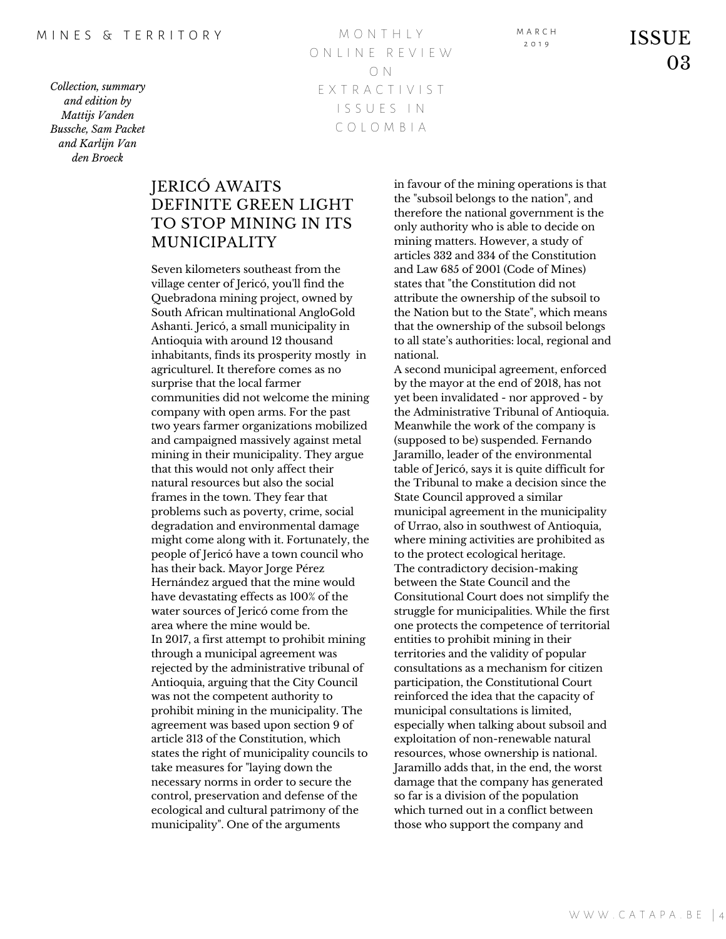M O N T H L Y O N L I N E R E V I E W O N E X T R A C T I V I S T I S S U E S I N C O L O M B I A

 $\sum_{2.019}^{1.4 \text{ RCH}}$  ISSUE 03

## JERICÓ AWAITS DEFINITE GREEN LIGHT TO STOP MINING IN ITS MUNICIPALITY

Seven kilometers southeast from the village center of Jericó, you'll find the Quebradona mining project, owned by South African multinational AngloGold Ashanti. Jericó, a small municipality in Antioquia with around 12 thousand inhabitants, finds its prosperity mostly in agriculturel. It therefore comes as no surprise that the local farmer communities did not welcome the mining company with open arms. For the past two years farmer organizations mobilized and campaigned massively against metal mining in their municipality. They argue that this would not only affect their natural resources but also the social frames in the town. They fear that problems such as poverty, crime, social degradation and environmental damage might come along with it. Fortunately, the people of Jericó have a town council who has their back. Mayor Jorge Pérez Hernández argued that the mine would have devastating effects as 100% of the water sources of Jericó come from the area where the mine would be. In 2017, a first attempt to prohibit mining through a municipal agreement was rejected by the administrative tribunal of Antioquia, arguing that the City Council was not the competent authority to prohibit mining in the municipality. The agreement was based upon section 9 of article 313 of the Constitution, which states the right of municipality councils to take measures for "laying down the necessary norms in order to secure the control, preservation and defense of the ecological and cultural patrimony of the municipality". One of the arguments

in favour of the mining operations is that the "subsoil belongs to the nation", and therefore the national government is the only authority who is able to decide on mining matters. However, a study of articles 332 and 334 of the Constitution and Law 685 of 2001 (Code of Mines) states that "the Constitution did not attribute the ownership of the subsoil to the Nation but to the State", which means that the ownership of the subsoil belongs to all state's authorities: local, regional and national.

A second municipal agreement, enforced by the mayor at the end of 2018, has not yet been invalidated - nor approved - by the Administrative Tribunal of Antioquia. Meanwhile the work of the company is (supposed to be) suspended. Fernando Jaramillo, leader of the environmental table of Jericó, says it is quite difficult for the Tribunal to make a decision since the State Council approved a similar municipal agreement in the municipality of Urrao, also in southwest of Antioquia, where mining activities are prohibited as to the protect ecological heritage. The contradictory decision-making between the State Council and the Consitutional Court does not simplify the struggle for municipalities. While the first one protects the competence of territorial entities to prohibit mining in their territories and the validity of popular consultations as a mechanism for citizen participation, the Constitutional Court reinforced the idea that the capacity of municipal consultations is limited, especially when talking about subsoil and exploitation of non-renewable natural resources, whose ownership is national. Jaramillo adds that, in the end, the worst damage that the company has generated so far is a division of the population which turned out in a conflict between those who support the company and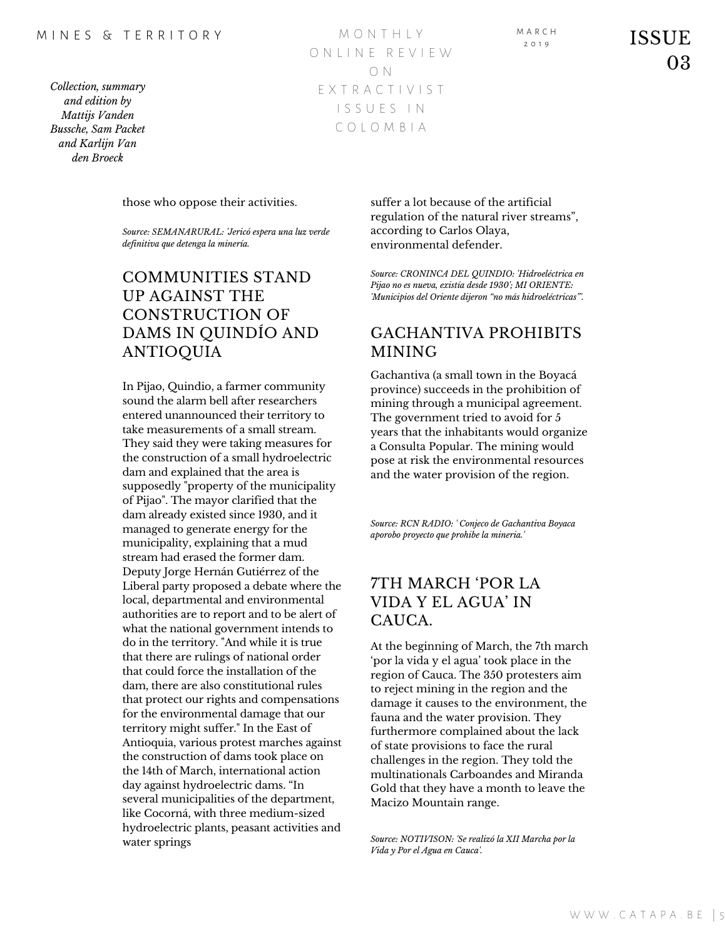#### M I N F S & T F R R I T O R Y

*Collection, summary and edition by Mattijs Vanden Bussche, Sam Packet and Karlijn Van den Broeck*

M O N T H L Y O N L I N E R E V I E W O N E X T R A C T I V I S T I S S U E S I N C O L O M B I A

those who oppose their activities.

*Source: SEMANARURAL: 'Jericó espera una luz verde definitiva que detenga la minería.*

# COMMUNITIES STAND UP AGAINST THE CONSTRUCTION OF DAMS IN QUINDÍO AND ANTIOQUIA

In Pijao, Quindio, a farmer community sound the alarm bell after researchers entered unannounced their territory to take measurements of a small stream. They said they were taking measures for the construction of a small hydroelectric dam and explained that the area is supposedly "property of the municipality of Pijao". The mayor clarified that the dam already existed since 1930, and it managed to generate energy for the municipality, explaining that a mud stream had erased the former dam. Deputy Jorge Hernán Gutiérrez of the Liberal party proposed a debate where the local, departmental and environmental authorities are to report and to be alert of what the national government intends to do in the territory. "And while it is true that there are rulings of national order that could force the installation of the dam, there are also constitutional rules that protect our rights and compensations for the environmental damage that our territory might suffer." In the East of Antioquia, various protest marches against the construction of dams took place on the 14th of March, international action day against hydroelectric dams. "In several municipalities of the department, like Cocorná, with three medium-sized hydroelectric plants, peasant activities and water springs

suffer a lot because of the artificial regulation of the natural river streams", according to Carlos Olaya, environmental defender.

*Source: CRONINCA DEL QUINDIO: 'Hidroeléctrica en Pijao no es nueva, existía desde 1930'; MI ORIENTE: 'Municipios del Oriente dijeron "no más hidroeléctricas"'.*

## GACHANTIVA PROHIBITS MINING

Gachantiva (a small town in the Boyacá province) succeeds in the prohibition of mining through a municipal agreement. The government tried to avoid for 5 years that the inhabitants would organize a Consulta Popular. The mining would pose at risk the environmental resources and the water provision of the region.

*Source: RCN RADIO: ' Conjeco de Gachantiva Boyaca aporobo proyecto que prohibe la mineria.'*

# 7TH MARCH 'POR LA VIDA Y EL AGUA' IN CAUCA.

At the beginning of March, the 7th march 'por la vida y el agua' took place in the region of Cauca. The 350 protesters aim to reject mining in the region and the damage it causes to the environment, the fauna and the water provision. They furthermore complained about the lack of state provisions to face the rural challenges in the region. They told the multinationals Carboandes and Miranda Gold that they have a month to leave the Macizo Mountain range.

*Source: NOTIVISON: 'Se realizó la XII Marcha por la Vida y Por el Agua en Cauca'.*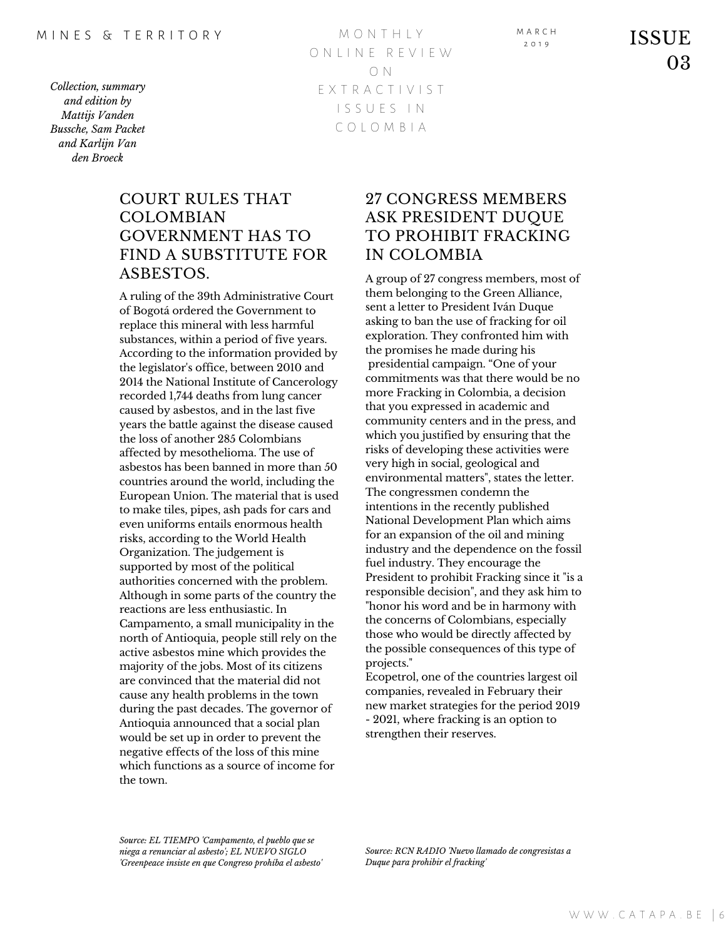M O N T H L Y O N L I N E R E V I E W O N E X T R A C T I V I S T I S S U E S I N C O L O M B I A

M A R C H

03

## COURT RULES THAT COLOMBIAN GOVERNMENT HAS TO FIND A SUBSTITUTE FOR ASBESTOS.

A ruling of the 39th Administrative Court of Bogotá ordered the Government to replace this mineral with less harmful substances, within a period of five years. According to the information provided by the legislator's office, between 2010 and 2014 the National Institute of Cancerology recorded 1,744 deaths from lung cancer caused by asbestos, and in the last five years the battle against the disease caused the loss of another 285 Colombians affected by mesothelioma. The use of asbestos has been banned in more than 50 countries around the world, including the European Union. The material that is used to make tiles, pipes, ash pads for cars and even uniforms entails enormous health risks, according to the World Health Organization. The judgement is supported by most of the political authorities concerned with the problem. Although in some parts of the country the reactions are less enthusiastic. In Campamento, a small municipality in the north of Antioquia, people still rely on the active asbestos mine which provides the majority of the jobs. Most of its citizens are convinced that the material did not cause any health problems in the town during the past decades. The governor of Antioquia announced that a social plan would be set up in order to prevent the negative effects of the loss of this mine which functions as a source of income for the town.

## 27 CONGRESS MEMBERS ASK PRESIDENT DUQUE TO PROHIBIT FRACKING IN COLOMBIA

A group of 27 congress members, most of them belonging to the Green Alliance, sent a letter to President Iván Duque asking to ban the use of fracking for oil exploration. They confronted him with the promises he made during his presidential campaign. "One of your commitments was that there would be no more Fracking in Colombia, a decision that you expressed in academic and community centers and in the press, and which you justified by ensuring that the risks of developing these activities were very high in social, geological and environmental matters", states the letter. The congressmen condemn the intentions in the recently published National Development Plan which aims for an expansion of the oil and mining industry and the dependence on the fossil fuel industry. They encourage the President to prohibit Fracking since it "is a responsible decision", and they ask him to "honor his word and be in harmony with the concerns of Colombians, especially those who would be directly affected by the possible consequences of this type of projects."

Ecopetrol, one of the countries largest oil companies, revealed in February their new market strategies for the period 2019 - 2021, where fracking is an option to strengthen their reserves.

*Source: EL TIEMPO 'Campamento, el pueblo que se niega a renunciar al asbesto'; EL NUEVO SIGLO 'Greenpeace insiste en que Congreso prohíba el asbesto'*

*Source: RCN RADIO 'Nuevo llamado de congresistas a Duque para prohibir el fracking'*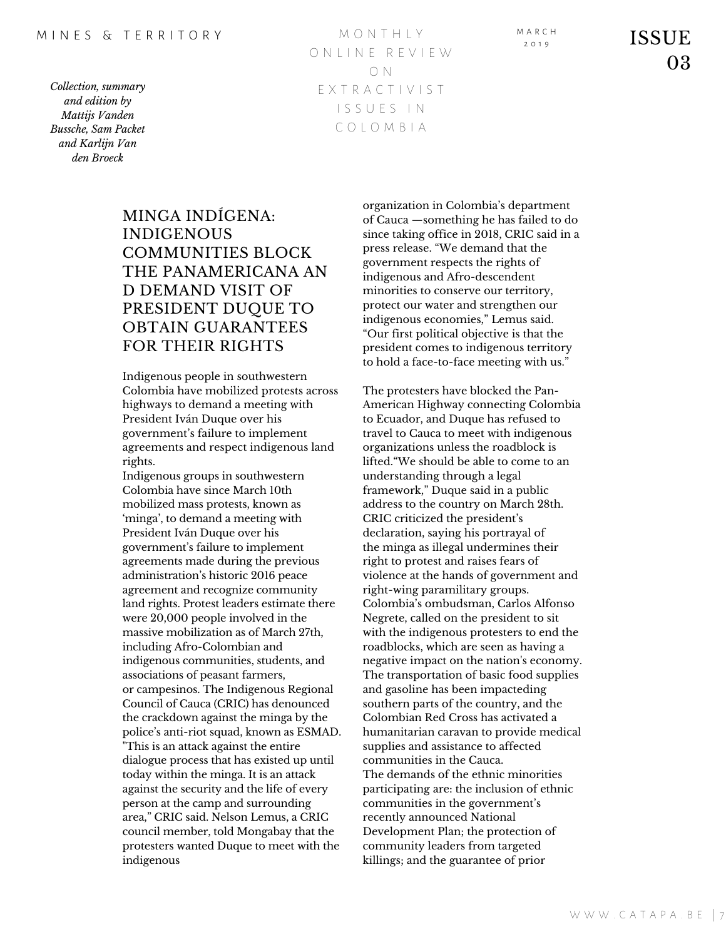M O N T H L Y O N L I N E R E V I E W O N E X T R A C T I V I S T I S S U E S I N C O L O M B I A

M A R C H

 $\sum_{2.019}^{1.8 \text{ KCH}}$  ISSUE 03

# MINGA INDÍGENA: INDIGENOUS COMMUNITIES BLOCK THE PANAMERICANA AN D DEMAND VISIT OF PRESIDENT DUQUE TO OBTAIN GUARANTEES FOR THEIR RIGHTS

Indigenous people in southwestern Colombia have mobilized protests across highways to demand a meeting with President Iván Duque over his government's failure to implement agreements and respect indigenous land rights.

Indigenous groups in southwestern Colombia have since March 10th mobilized mass protests, known as 'minga', to demand a meeting with President Iván Duque over his government's failure to implement agreements made during the previous administration's historic 2016 peace agreement and recognize community land rights. Protest leaders estimate there were 20,000 people involved in the massive mobilization as of March 27th, including Afro-Colombian and indigenous communities, students, and associations of peasant farmers, or campesinos. The Indigenous Regional Council of Cauca (CRIC) has denounced the crackdown against the minga by the police's anti-riot squad, known as ESMAD. "This is an attack against the entire dialogue process that has existed up until today within the minga. It is an attack against the security and the life of every person at the camp and surrounding area," CRIC said. Nelson Lemus, a CRIC council member, told Mongabay that the protesters wanted Duque to meet with the indigenous

organization in Colombia's department of Cauca —something he has failed to do since taking office in 2018, CRIC said in a press release. "We demand that the government respects the rights of indigenous and Afro-descendent minorities to conserve our territory, protect our water and strengthen our indigenous economies," Lemus said. "Our first political objective is that the president comes to indigenous territory to hold a face-to-face meeting with us."

The protesters have blocked the Pan-American Highway connecting Colombia to Ecuador, and Duque has refused to travel to Cauca to meet with indigenous organizations unless the roadblock is lifted."We should be able to come to an understanding through a legal framework," Duque said in a public address to the country on March 28th. CRIC criticized the president's declaration, saying his portrayal of the minga as illegal undermines their right to protest and raises fears of violence at the hands of government and right-wing paramilitary groups. Colombia's ombudsman, Carlos Alfonso Negrete, called on the president to sit with the indigenous protesters to end the roadblocks, which are seen as having a negative impact on the nation's economy. The transportation of basic food supplies and gasoline has been impacteding southern parts of the country, and the Colombian Red Cross has activated a humanitarian caravan to provide medical supplies and assistance to affected communities in the Cauca. The demands of the ethnic minorities participating are: the inclusion of ethnic communities in the government's recently announced National Development Plan; the protection of community leaders from targeted killings; and the guarantee of prior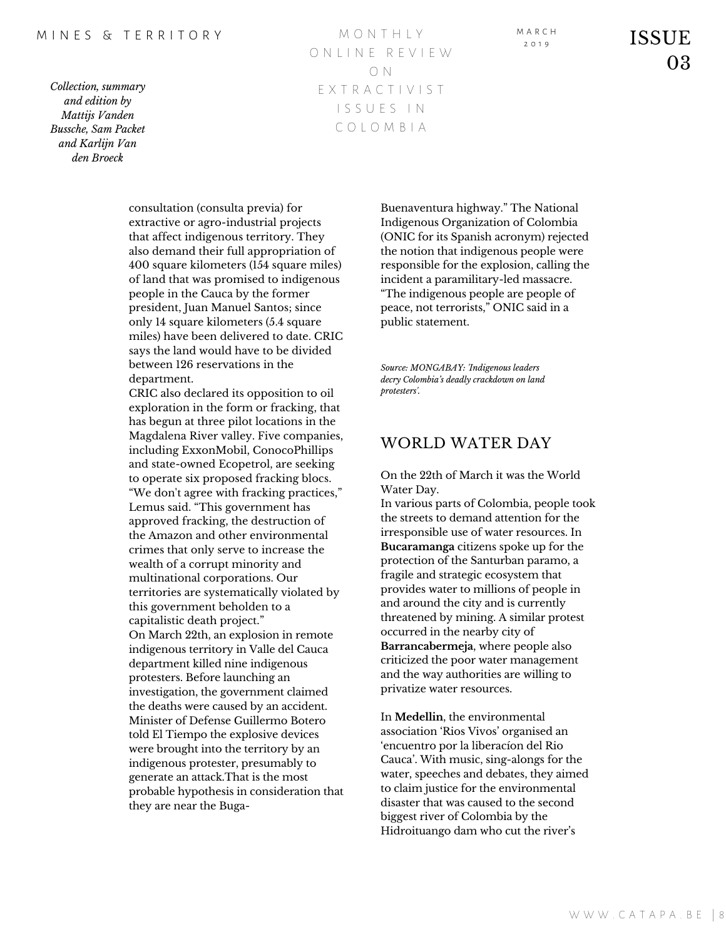#### M I N E S & T E R R I T O R Y

*Collection, summary and edition by Mattijs Vanden Bussche, Sam Packet and Karlijn Van den Broeck*

M O N T H L Y O N L I N E R E V I E W O N E X T R A C T I V I S T I S S U E S I N C O L O M B I A

M A R C H

 $\sum_{2.019}^{1.88 \text{ C}} 1$  ISSUE 03

consultation (consulta previa) for extractive or agro-industrial projects that affect indigenous territory. They also demand their full appropriation of 400 square kilometers (154 square miles) of land that was promised to indigenous people in the Cauca by the former president, Juan Manuel Santos; since only 14 square kilometers (5.4 square miles) have been delivered to date. CRIC says the land would have to be divided between 126 reservations in the department.

CRIC also declared its opposition to oil exploration in the form or fracking, that has begun at three pilot locations in the Magdalena River valley. Five companies, including ExxonMobil, ConocoPhillips and state-owned Ecopetrol, are seeking to operate six proposed fracking blocs. "We don't agree with fracking practices," Lemus said. "This government has approved fracking, the destruction of the Amazon and other environmental crimes that only serve to increase the wealth of a corrupt minority and multinational corporations. Our territories are systematically violated by this government beholden to a capitalistic death project." On March 22th, an explosion in remote indigenous territory in Valle del Cauca department killed nine indigenous protesters. Before launching an investigation, the government claimed the deaths were caused by an accident. Minister of Defense Guillermo Botero told El Tiempo the explosive devices were brought into the territory by an indigenous protester, presumably to generate an attack.That is the most probable hypothesis in consideration that they are near the Buga-

Buenaventura highway." The National Indigenous Organization of Colombia (ONIC for its Spanish acronym) rejected the notion that indigenous people were responsible for the explosion, calling the incident a paramilitary-led massacre. "The indigenous people are people of peace, not terrorists," ONIC said in a public statement.

*Source: MONGABAY: 'Indigenous leaders decry Colombia's deadly crackdown on land protesters'.*

### WORLD WATER DAY

On the 22th of March it was the World Water Day.

In various parts of Colombia, people took the streets to demand attention for the irresponsible use of water resources. In **Bucaramanga** citizens spoke up for the protection of the Santurban paramo, a fragile and strategic ecosystem that provides water to millions of people in and around the city and is currently threatened by mining. A similar protest occurred in the nearby city of **Barrancabermeja**, where people also criticized the poor water management and the way authorities are willing to privatize water resources.

In **Medellin**, the environmental association 'Rios Vivos' organised an 'encuentro por la liberacíon del Rio Cauca'. With music, sing-alongs for the water, speeches and debates, they aimed to claim justice for the environmental disaster that was caused to the second biggest river of Colombia by the Hidroituango dam who cut the river's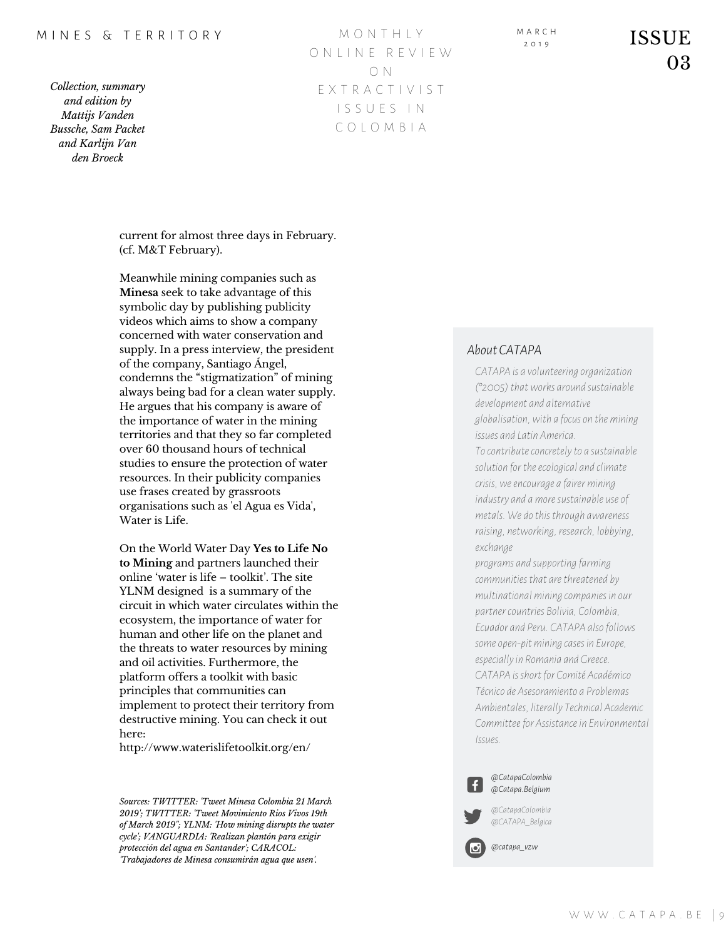#### M I N F S & T F R R I T O R Y

*Collection, summary and edition by Mattijs Vanden Bussche, Sam Packet and Karlijn Van den Broeck*

M O N T H L Y O N L I N E R E V I E W O N E X T R A C T I V I S T I S S U E S I N C O L O M B I A

M A R C H

 $\overline{\text{ISSUE}}$ 03

current for almost three days in February. (cf. M&T February).

Meanwhile mining companies such as **Minesa** seek to take advantage of this symbolic day by publishing publicity videos which aims to show a company concerned with water conservation and supply. In a press interview, the president of the company, Santiago Ángel, condemns the "stigmatization" of mining always being bad for a clean water supply. He argues that his company is aware of the importance of water in the mining territories and that they so far completed over 60 thousand hours of technical studies to ensure the protection of water resources. In their publicity companies use frases created by grassroots organisations such as 'el Agua es Vida', Water is Life.

On the World Water Day **Yes to Life No to Mining** and partners launched their online 'water is life – toolkit'. The site YLNM designed is a summary of the circuit in which water circulates within the ecosystem, the importance of water for human and other life on the planet and the threats to water resources by mining and oil activities. Furthermore, the platform offers a toolkit with basic principles that communities can implement to protect their territory from destructive mining. You can check it out here:

http://www.waterislifetoolkit.org/en/

*Sources: TWITTER: 'Tweet Minesa Colombia 21 March 2019'; TWITTER: 'Tweet Movimiento Rios Vivos 19th of March 2019''; YLNM: 'How mining disrupts the water cycle'; VANGUARDIA: 'Realizan plantón para exigir protección del agua en Santander'; CARACOL: 'Trabajadores de Minesa consumirán agua que usen'.*

#### *About CATAPA*

*CATAPA is a volunteering organization (°2005) thatworks around sustainable development and alternative globalisation,with a focuson themining issues and Latin America.*

*Tocontributeconcretelyto a sustainable solution for theecological and climate crisis,weencourage a fairermining industry and amoresustainable useof metals. We dothis through awareness raising, networking, research, lobbying, exchange*

*programs and supporting farming communities that arethreatened by multinationalmining companies in our partnercountries Bolivia, Colombia, Ecuador and Peru. CATAPA alsofollows someopen-pitmining cases in Europe, especiallyin Romania and Greece. CATAPA is short for Comité Académico Técnico de Asesoramiento a Problemas Ambientales, literally Technical Academic Committeefor Assistancein Environmental Issues.*



*@CatapaColombia @Catapa.Belgium*

*@CatapaColombia @CATAPA\_Belgica*

*@catapa\_vzw*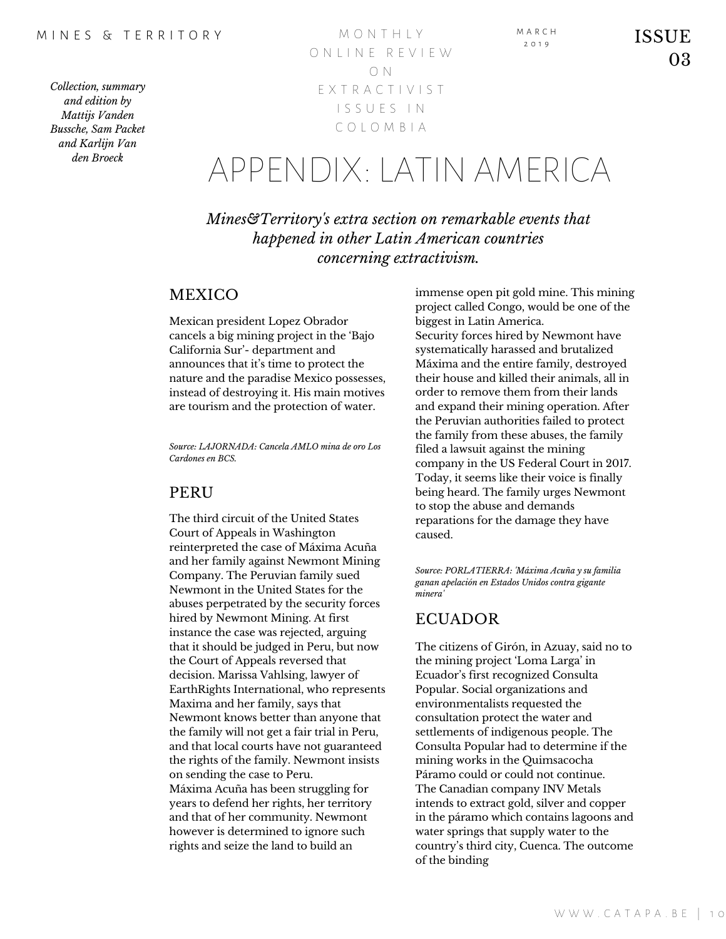M O N T H L Y O N L I N E R E V I E W O N E X T R A C T I V I S T I S S U E S I N C O L O M B I A

# APPENDIX:LATIN AMERICA

*Mines&Territory's extra section on remarkable events that happened in other Latin American countries concerning extractivism.*

## **MEXICO**

Mexican president Lopez Obrador cancels a big mining project in the 'Bajo California Sur'- department and announces that it's time to protect the nature and the paradise Mexico possesses, instead of destroying it. His main motives are tourism and the protection of water.

*Source: LAJORNADA: Cancela AMLO mina de oro Los Cardones en BCS.*

### **PERU**

The third circuit of the United States Court of Appeals in Washington reinterpreted the case of Máxima Acuña and her family against Newmont Mining Company. The Peruvian family sued Newmont in the United States for the abuses perpetrated by the security forces hired by Newmont Mining. At first instance the case was rejected, arguing that it should be judged in Peru, but now the Court of Appeals reversed that decision. Marissa Vahlsing, lawyer of EarthRights International, who represents Maxima and her family, says that Newmont knows better than anyone that the family will not get a fair trial in Peru, and that local courts have not guaranteed the rights of the family. Newmont insists on sending the case to Peru. Máxima Acuña has been struggling for years to defend her rights, her territory and that of her community. Newmont however is determined to ignore such rights and seize the land to build an

immense open pit gold mine. This mining project called Congo, would be one of the biggest in Latin America. Security forces hired by Newmont have systematically harassed and brutalized Máxima and the entire family, destroyed their house and killed their animals, all in order to remove them from their lands and expand their mining operation. After the Peruvian authorities failed to protect the family from these abuses, the family filed a lawsuit against the mining company in the US Federal Court in 2017. Today, it seems like their voice is finally being heard. The family urges Newmont to stop the abuse and demands reparations for the damage they have caused.

M A R C H

*Source: PORLATIERRA: 'Máxima Acuña y su familia ganan apelación en Estados Unidos contra gigante minera'*

## ECUADOR

The citizens of Girón, in Azuay, said no to the mining project 'Loma Larga' in Ecuador's first recognized Consulta Popular. Social organizations and environmentalists requested the consultation protect the water and settlements of indigenous people. The Consulta Popular had to determine if the mining works in the Quimsacocha Páramo could or could not continue. The Canadian company INV Metals intends to extract gold, silver and copper in the páramo which contains lagoons and water springs that supply water to the country's third city, Cuenca. The outcome of the binding